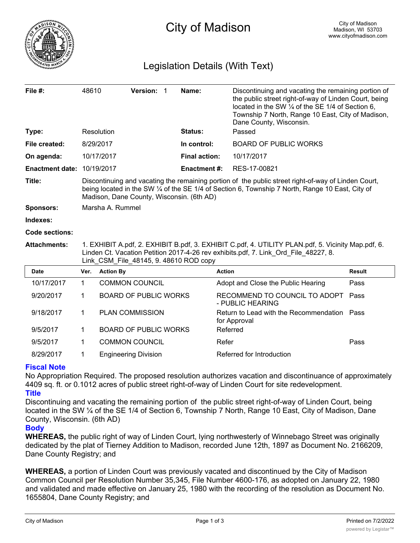

## Legislation Details (With Text)

| File $#$ :             | 48610                                                                                                                                                                                                                                                |                  | Version: 1                   |  | Name:                | Discontinuing and vacating the remaining portion of<br>the public street right-of-way of Linden Court, being<br>located in the SW $\frac{1}{4}$ of the SE 1/4 of Section 6.<br>Township 7 North, Range 10 East, City of Madison,<br>Dane County, Wisconsin. |               |
|------------------------|------------------------------------------------------------------------------------------------------------------------------------------------------------------------------------------------------------------------------------------------------|------------------|------------------------------|--|----------------------|-------------------------------------------------------------------------------------------------------------------------------------------------------------------------------------------------------------------------------------------------------------|---------------|
| Type:                  |                                                                                                                                                                                                                                                      | Resolution       |                              |  | Status:              | Passed                                                                                                                                                                                                                                                      |               |
| File created:          |                                                                                                                                                                                                                                                      | 8/29/2017        |                              |  | In control:          | <b>BOARD OF PUBLIC WORKS</b>                                                                                                                                                                                                                                |               |
| On agenda:             |                                                                                                                                                                                                                                                      | 10/17/2017       |                              |  | <b>Final action:</b> | 10/17/2017                                                                                                                                                                                                                                                  |               |
| <b>Enactment date:</b> |                                                                                                                                                                                                                                                      | 10/19/2017       |                              |  | <b>Enactment #:</b>  | RES-17-00821                                                                                                                                                                                                                                                |               |
| Title:                 | Discontinuing and vacating the remaining portion of the public street right-of-way of Linden Court,<br>being located in the SW 1/4 of the SE 1/4 of Section 6, Township 7 North, Range 10 East, City of<br>Madison, Dane County, Wisconsin. (6th AD) |                  |                              |  |                      |                                                                                                                                                                                                                                                             |               |
| <b>Sponsors:</b>       | Marsha A. Rummel                                                                                                                                                                                                                                     |                  |                              |  |                      |                                                                                                                                                                                                                                                             |               |
| Indexes:               |                                                                                                                                                                                                                                                      |                  |                              |  |                      |                                                                                                                                                                                                                                                             |               |
| Code sections:         |                                                                                                                                                                                                                                                      |                  |                              |  |                      |                                                                                                                                                                                                                                                             |               |
| <b>Attachments:</b>    | 1. EXHIBIT A.pdf, 2. EXHIBIT B.pdf, 3. EXHIBIT C.pdf, 4. UTILITY PLAN.pdf, 5. Vicinity Map.pdf, 6.<br>Linden Ct. Vacation Petition 2017-4-26 rev exhibits.pdf, 7. Link Ord File 48227, 8.<br>Link CSM File 48145, 9.48610 ROD copy                   |                  |                              |  |                      |                                                                                                                                                                                                                                                             |               |
| Date                   | Ver.                                                                                                                                                                                                                                                 | <b>Action By</b> |                              |  | <b>Action</b>        |                                                                                                                                                                                                                                                             | <b>Result</b> |
| 10/17/2017             | $\mathbf{1}$                                                                                                                                                                                                                                         |                  | <b>COMMON COUNCIL</b>        |  |                      | Adopt and Close the Public Hearing                                                                                                                                                                                                                          | Pass          |
| 9/20/2017              | 1.                                                                                                                                                                                                                                                   |                  | <b>BOARD OF PUBLIC WORKS</b> |  |                      | RECOMMEND TO COUNCIL TO ADOPT<br>- PUBLIC HEARING                                                                                                                                                                                                           | Pass          |
| 9/18/2017              | 1                                                                                                                                                                                                                                                    |                  | <b>PLAN COMMISSION</b>       |  |                      | Return to Lead with the Recommendation<br>for Approval                                                                                                                                                                                                      | Pass          |
| 9/5/2017               | 1.                                                                                                                                                                                                                                                   |                  | <b>BOARD OF PUBLIC WORKS</b> |  |                      | Referred                                                                                                                                                                                                                                                    |               |
| 9/5/2017               | 1.                                                                                                                                                                                                                                                   |                  | <b>COMMON COUNCIL</b>        |  | Refer                |                                                                                                                                                                                                                                                             | Pass          |
| 8/29/2017              | 1                                                                                                                                                                                                                                                    |                  | <b>Engineering Division</b>  |  |                      | Referred for Introduction                                                                                                                                                                                                                                   |               |

## **Fiscal Note**

No Appropriation Required. The proposed resolution authorizes vacation and discontinuance of approximately 4409 sq. ft. or 0.1012 acres of public street right-of-way of Linden Court for site redevelopment. **Title**

Discontinuing and vacating the remaining portion of the public street right-of-way of Linden Court, being located in the SW ¼ of the SE 1/4 of Section 6, Township 7 North, Range 10 East, City of Madison, Dane County, Wisconsin. (6th AD)

## **Body**

**WHEREAS,** the public right of way of Linden Court, lying northwesterly of Winnebago Street was originally dedicated by the plat of Tierney Addition to Madison, recorded June 12th, 1897 as Document No. 2166209, Dane County Registry; and

**WHEREAS,** a portion of Linden Court was previously vacated and discontinued by the City of Madison Common Council per Resolution Number 35,345, File Number 4600-176, as adopted on January 22, 1980 and validated and made effective on January 25, 1980 with the recording of the resolution as Document No. 1655804, Dane County Registry; and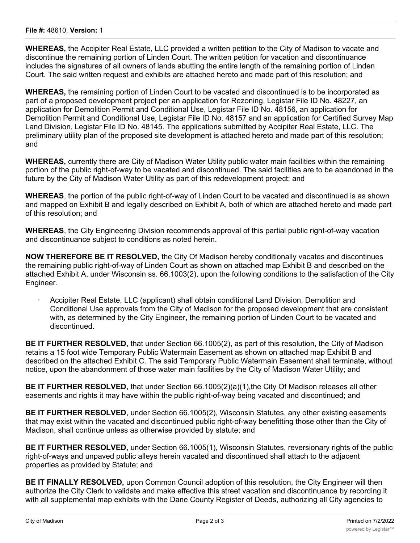**WHEREAS,** the Accipiter Real Estate, LLC provided a written petition to the City of Madison to vacate and discontinue the remaining portion of Linden Court. The written petition for vacation and discontinuance includes the signatures of all owners of lands abutting the entire length of the remaining portion of Linden Court. The said written request and exhibits are attached hereto and made part of this resolution; and

**WHEREAS,** the remaining portion of Linden Court to be vacated and discontinued is to be incorporated as part of a proposed development project per an application for Rezoning, Legistar File ID No. 48227, an application for Demolition Permit and Conditional Use, Legistar File ID No. 48156, an application for Demolition Permit and Conditional Use, Legistar File ID No. 48157 and an application for Certified Survey Map Land Division, Legistar File ID No. 48145. The applications submitted by Accipiter Real Estate, LLC. The preliminary utility plan of the proposed site development is attached hereto and made part of this resolution; and

**WHEREAS,** currently there are City of Madison Water Utility public water main facilities within the remaining portion of the public right-of-way to be vacated and discontinued. The said facilities are to be abandoned in the future by the City of Madison Water Utility as part of this redevelopment project; and

**WHEREAS**, the portion of the public right-of-way of Linden Court to be vacated and discontinued is as shown and mapped on Exhibit B and legally described on Exhibit A, both of which are attached hereto and made part of this resolution; and

**WHEREAS**, the City Engineering Division recommends approval of this partial public right-of-way vacation and discontinuance subject to conditions as noted herein.

**NOW THEREFORE BE IT RESOLVED,** the City Of Madison hereby conditionally vacates and discontinues the remaining public right-of-way of Linden Court as shown on attached map Exhibit B and described on the attached Exhibit A, under Wisconsin ss. 66.1003(2), upon the following conditions to the satisfaction of the City Engineer.

· Accipiter Real Estate, LLC (applicant) shall obtain conditional Land Division, Demolition and Conditional Use approvals from the City of Madison for the proposed development that are consistent with, as determined by the City Engineer, the remaining portion of Linden Court to be vacated and discontinued.

**BE IT FURTHER RESOLVED,** that under Section 66.1005(2), as part of this resolution, the City of Madison retains a 15 foot wide Temporary Public Watermain Easement as shown on attached map Exhibit B and described on the attached Exhibit C. The said Temporary Public Watermain Easement shall terminate, without notice, upon the abandonment of those water main facilities by the City of Madison Water Utility; and

**BE IT FURTHER RESOLVED,** that under Section 66.1005(2)(a)(1),the City Of Madison releases all other easements and rights it may have within the public right-of-way being vacated and discontinued; and

**BE IT FURTHER RESOLVED**, under Section 66.1005(2), Wisconsin Statutes, any other existing easements that may exist within the vacated and discontinued public right-of-way benefitting those other than the City of Madison, shall continue unless as otherwise provided by statute; and

**BE IT FURTHER RESOLVED,** under Section 66.1005(1), Wisconsin Statutes, reversionary rights of the public right-of-ways and unpaved public alleys herein vacated and discontinued shall attach to the adjacent properties as provided by Statute; and

**BE IT FINALLY RESOLVED,** upon Common Council adoption of this resolution, the City Engineer will then authorize the City Clerk to validate and make effective this street vacation and discontinuance by recording it with all supplemental map exhibits with the Dane County Register of Deeds, authorizing all City agencies to